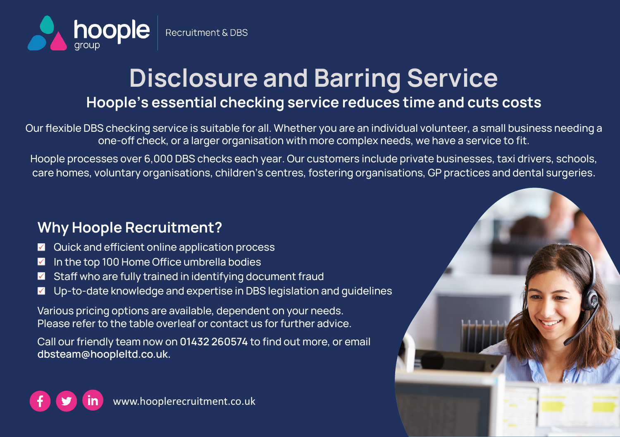

## **Disclosure and Barring Service Hoople's essential checking service reduces time and cuts costs**

Our flexible DBS checking service is suitable for all. Whether you are an individual volunteer, a small business needing a one-off check, or a larger organisation with more complex needs, we have a service to fit.

Hoople processes over 6,000 DBS checks each year. Our customers include private businesses, taxi drivers, schools, care homes, voluntary organisations, children's centres, fostering organisations, GP practices and dental surgeries.

## **Why Hoople Recruitment?**

- Quick and efficient online application process
- In the top 100 Home Office umbrella bodies ☑
- Staff who are fully trained in identifying document fraud
- $\blacktriangledown$ Up-to-date knowledge and expertise in DBS legislation and guidelines

Various pricing options are available, dependent on your needs. Please refer to the table overleaf or contact us for further advice.

Call our friendly team now on **01432 260574** to find out more, or email **dbsteam@hoopleltd.co.uk.**